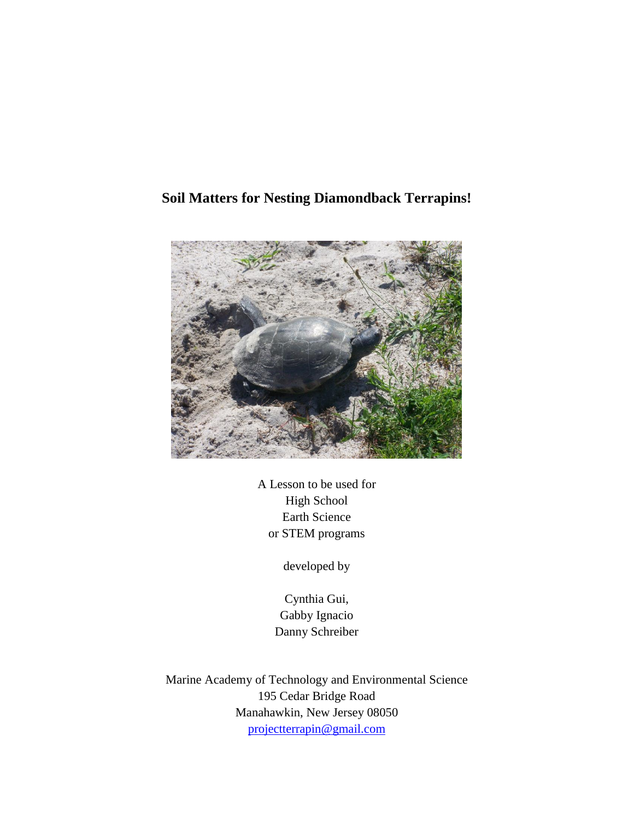# **Soil Matters for Nesting Diamondback Terrapins!**



A Lesson to be used for High School Earth Science or STEM programs

developed by

Cynthia Gui, Gabby Ignacio Danny Schreiber

Marine Academy of Technology and Environmental Science 195 Cedar Bridge Road Manahawkin, New Jersey 08050 [projectterrapin@gmail.com](mailto:projectterrapin@gmail.com)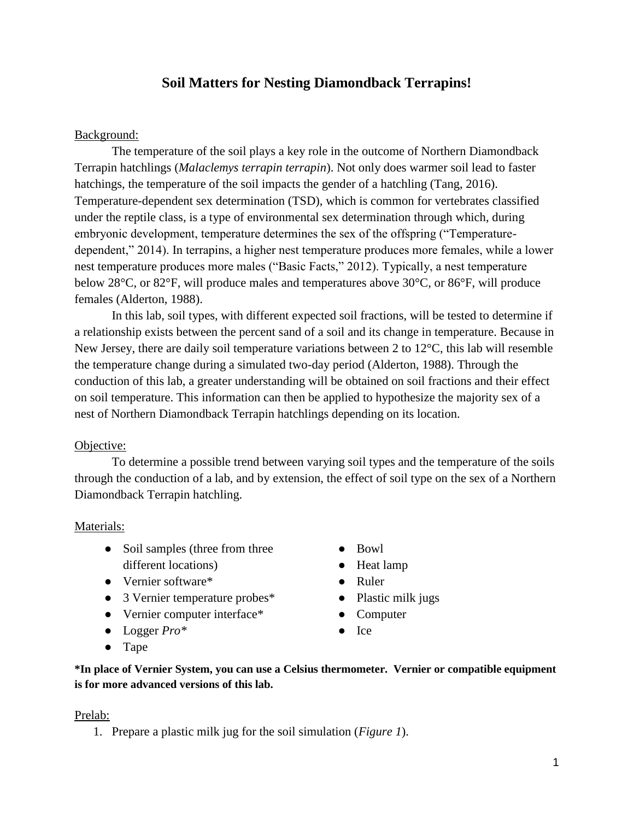## **Soil Matters for Nesting Diamondback Terrapins!**

### Background:

The temperature of the soil plays a key role in the outcome of Northern Diamondback Terrapin hatchlings (*Malaclemys terrapin terrapin*). Not only does warmer soil lead to faster hatchings, the temperature of the soil impacts the gender of a hatchling (Tang, 2016). Temperature-dependent sex determination (TSD), which is common for vertebrates classified under the reptile class, is a type of environmental sex determination through which, during embryonic development, temperature determines the sex of the offspring ("Temperaturedependent," 2014). In terrapins, a higher nest temperature produces more females, while a lower nest temperature produces more males ("Basic Facts," 2012). Typically, a nest temperature below 28°C, or 82°F, will produce males and temperatures above 30°C, or 86°F, will produce females (Alderton, 1988).

In this lab, soil types, with different expected soil fractions, will be tested to determine if a relationship exists between the percent sand of a soil and its change in temperature. Because in New Jersey, there are daily soil temperature variations between 2 to 12°C, this lab will resemble the temperature change during a simulated two-day period (Alderton, 1988). Through the conduction of this lab, a greater understanding will be obtained on soil fractions and their effect on soil temperature. This information can then be applied to hypothesize the majority sex of a nest of Northern Diamondback Terrapin hatchlings depending on its location.

#### Objective:

To determine a possible trend between varying soil types and the temperature of the soils through the conduction of a lab, and by extension, the effect of soil type on the sex of a Northern Diamondback Terrapin hatchling.

#### Materials:

- Soil samples (three from three different locations)
- Vernier software\*
- 3 Vernier temperature probes\*
- Vernier computer interface\*
- Logger *Pro\**
- Tape
- Bowl
- Heat lamp
- Ruler
- Plastic milk jugs
- Computer
- Ice
- **\*In place of Vernier System, you can use a Celsius thermometer. Vernier or compatible equipment is for more advanced versions of this lab.**

#### Prelab:

1. Prepare a plastic milk jug for the soil simulation (*Figure 1*).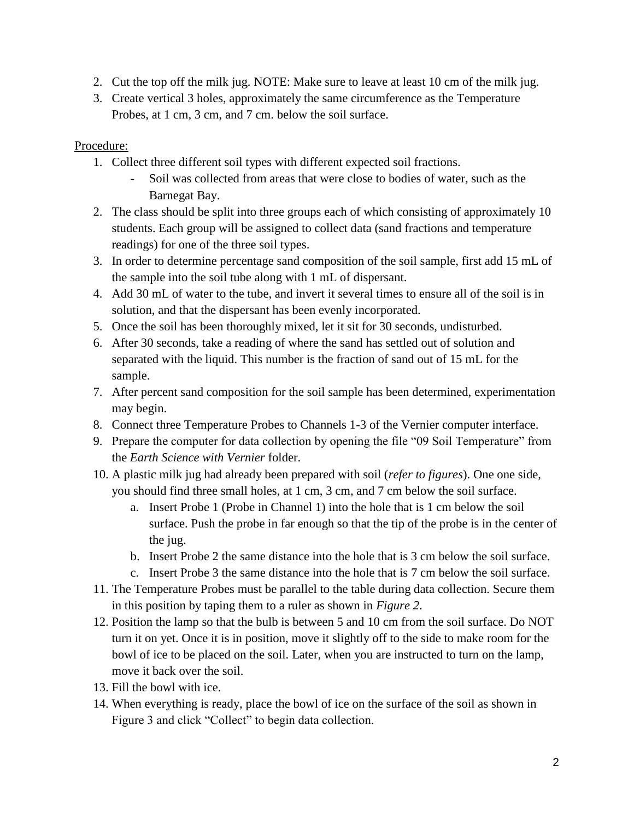- 2. Cut the top off the milk jug. NOTE: Make sure to leave at least 10 cm of the milk jug.
- 3. Create vertical 3 holes, approximately the same circumference as the Temperature Probes, at 1 cm, 3 cm, and 7 cm. below the soil surface.

## Procedure:

- 1. Collect three different soil types with different expected soil fractions.
	- Soil was collected from areas that were close to bodies of water, such as the Barnegat Bay.
- 2. The class should be split into three groups each of which consisting of approximately 10 students. Each group will be assigned to collect data (sand fractions and temperature readings) for one of the three soil types.
- 3. In order to determine percentage sand composition of the soil sample, first add 15 mL of the sample into the soil tube along with 1 mL of dispersant.
- 4. Add 30 mL of water to the tube, and invert it several times to ensure all of the soil is in solution, and that the dispersant has been evenly incorporated.
- 5. Once the soil has been thoroughly mixed, let it sit for 30 seconds, undisturbed.
- 6. After 30 seconds, take a reading of where the sand has settled out of solution and separated with the liquid. This number is the fraction of sand out of 15 mL for the sample.
- 7. After percent sand composition for the soil sample has been determined, experimentation may begin.
- 8. Connect three Temperature Probes to Channels 1-3 of the Vernier computer interface.
- 9. Prepare the computer for data collection by opening the file "09 Soil Temperature" from the *Earth Science with Vernier* folder.
- 10. A plastic milk jug had already been prepared with soil (*refer to figures*). One one side, you should find three small holes, at 1 cm, 3 cm, and 7 cm below the soil surface.
	- a. Insert Probe 1 (Probe in Channel 1) into the hole that is 1 cm below the soil surface. Push the probe in far enough so that the tip of the probe is in the center of the jug.
	- b. Insert Probe 2 the same distance into the hole that is 3 cm below the soil surface.
	- c. Insert Probe 3 the same distance into the hole that is 7 cm below the soil surface.
- 11. The Temperature Probes must be parallel to the table during data collection. Secure them in this position by taping them to a ruler as shown in *Figure 2*.
- 12. Position the lamp so that the bulb is between 5 and 10 cm from the soil surface. Do NOT turn it on yet. Once it is in position, move it slightly off to the side to make room for the bowl of ice to be placed on the soil. Later, when you are instructed to turn on the lamp, move it back over the soil.
- 13. Fill the bowl with ice.
- 14. When everything is ready, place the bowl of ice on the surface of the soil as shown in Figure 3 and click "Collect" to begin data collection.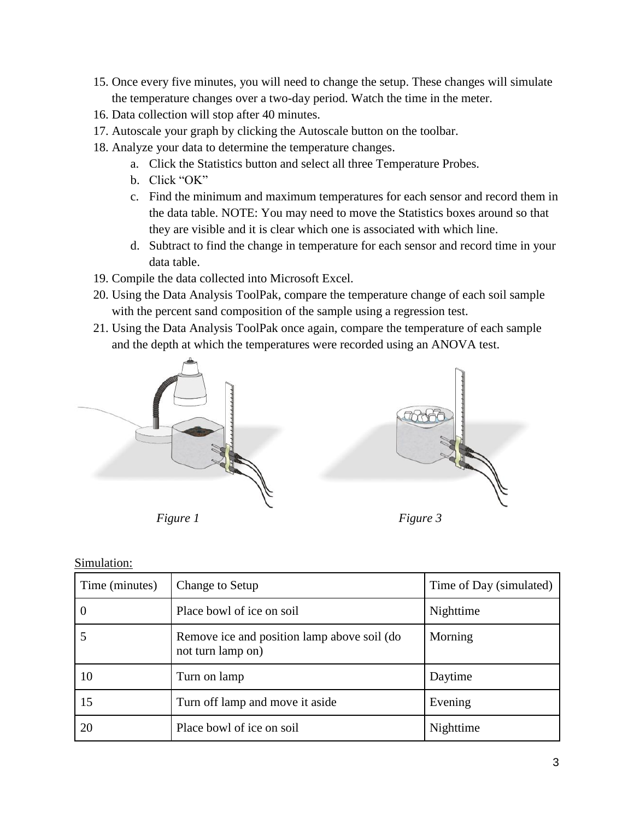- 15. Once every five minutes, you will need to change the setup. These changes will simulate the temperature changes over a two-day period. Watch the time in the meter.
- 16. Data collection will stop after 40 minutes.
- 17. Autoscale your graph by clicking the Autoscale button on the toolbar.
- 18. Analyze your data to determine the temperature changes.
	- a. Click the Statistics button and select all three Temperature Probes.
	- b. Click "OK"
	- c. Find the minimum and maximum temperatures for each sensor and record them in the data table. NOTE: You may need to move the Statistics boxes around so that they are visible and it is clear which one is associated with which line.
	- d. Subtract to find the change in temperature for each sensor and record time in your data table.
- 19. Compile the data collected into Microsoft Excel.
- 20. Using the Data Analysis ToolPak, compare the temperature change of each soil sample with the percent sand composition of the sample using a regression test.
- 21. Using the Data Analysis ToolPak once again, compare the temperature of each sample and the depth at which the temperatures were recorded using an ANOVA test.



*Figure 1*



*Figure 3*

| Time (minutes) | Change to Setup                                                  | Time of Day (simulated) |
|----------------|------------------------------------------------------------------|-------------------------|
|                | Place bowl of ice on soil                                        | Nighttime               |
|                | Remove ice and position lamp above soil (do<br>not turn lamp on) | Morning                 |
| 10             | Turn on lamp                                                     | Daytime                 |
| 15             | Turn off lamp and move it aside                                  | Evening                 |
| 20             | Place bowl of ice on soil                                        | Nighttime               |

### Simulation: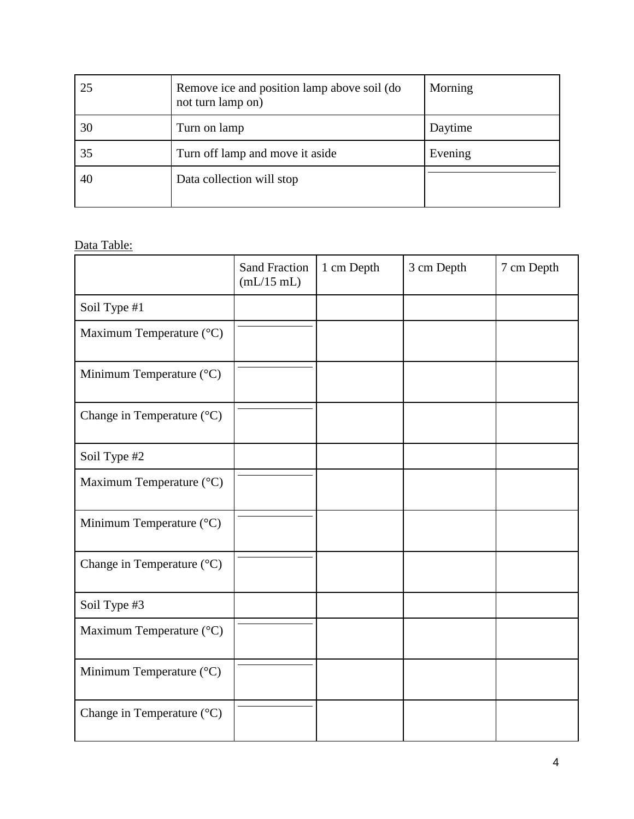| 25 | Remove ice and position lamp above soil (do<br>not turn lamp on) | Morning |
|----|------------------------------------------------------------------|---------|
| 30 | Turn on lamp                                                     | Daytime |
| 35 | Turn off lamp and move it aside                                  | Evening |
| 40 | Data collection will stop                                        |         |

# Data Table:

|                            | <b>Sand Fraction</b><br>(mL/15 mL) | 1 cm Depth | 3 cm Depth | 7 cm Depth |
|----------------------------|------------------------------------|------------|------------|------------|
| Soil Type #1               |                                    |            |            |            |
| Maximum Temperature (°C)   |                                    |            |            |            |
| Minimum Temperature (°C)   |                                    |            |            |            |
| Change in Temperature (°C) |                                    |            |            |            |
| Soil Type #2               |                                    |            |            |            |
| Maximum Temperature (°C)   |                                    |            |            |            |
| Minimum Temperature (°C)   |                                    |            |            |            |
| Change in Temperature (°C) |                                    |            |            |            |
| Soil Type #3               |                                    |            |            |            |
| Maximum Temperature (°C)   |                                    |            |            |            |
| Minimum Temperature (°C)   |                                    |            |            |            |
| Change in Temperature (°C) |                                    |            |            |            |